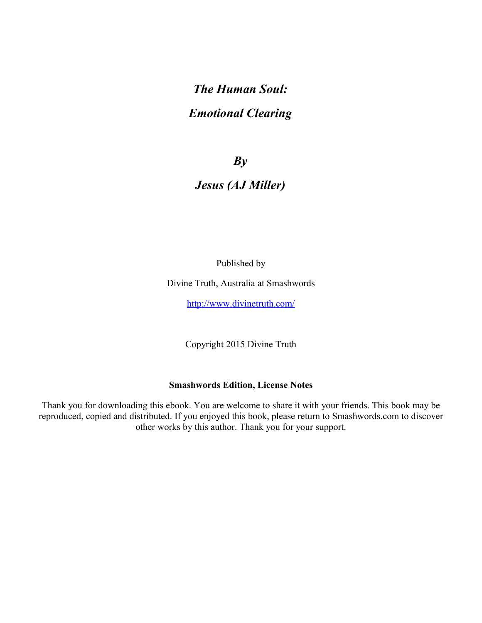# *The Human Soul: Emotional Clearing*

## *By*

## *Jesus (AJ Miller)*

Published by

Divine Truth, Australia at Smashwords

<http://www.divinetruth.com/>

Copyright 2015 Divine Truth

#### **Smashwords Edition, License Notes**

Thank you for downloading this ebook. You are welcome to share it with your friends. This book may be reproduced, copied and distributed. If you enjoyed this book, please return to Smashwords.com to discover other works by this author. Thank you for your support.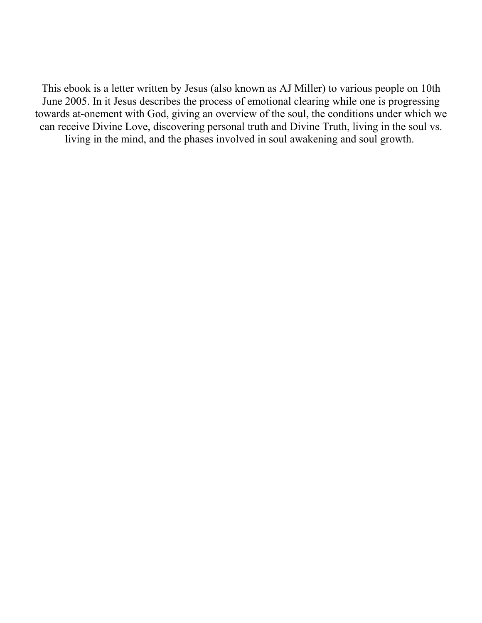This ebook is a letter written by Jesus (also known as AJ Miller) to various people on 10th June 2005. In it Jesus describes the process of emotional clearing while one is progressing towards at-onement with God, giving an overview of the soul, the conditions under which we can receive Divine Love, discovering personal truth and Divine Truth, living in the soul vs. living in the mind, and the phases involved in soul awakening and soul growth.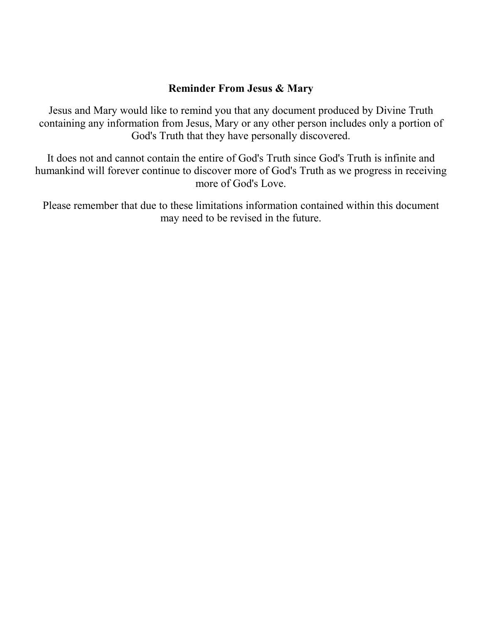#### **Reminder From Jesus & Mary**

Jesus and Mary would like to remind you that any document produced by Divine Truth containing any information from Jesus, Mary or any other person includes only a portion of God's Truth that they have personally discovered.

It does not and cannot contain the entire of God's Truth since God's Truth is infinite and humankind will forever continue to discover more of God's Truth as we progress in receiving more of God's Love.

Please remember that due to these limitations information contained within this document may need to be revised in the future.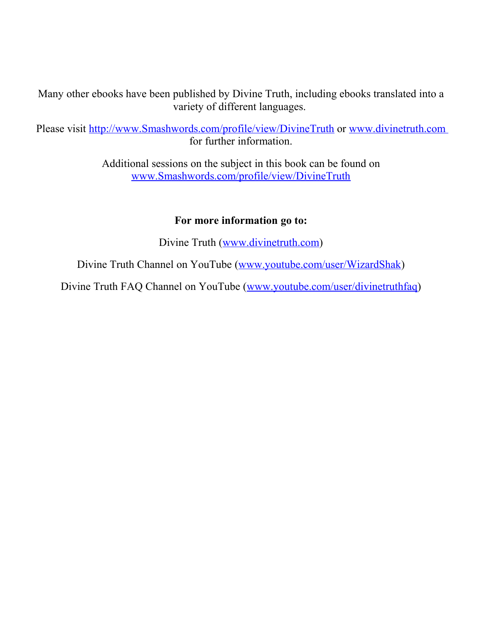Many other ebooks have been published by Divine Truth, including ebooks translated into a variety of different languages.

Please visit <http://www.Smashwords.com/profile/view/DivineTruth>or [www.divinetruth.com](http://www.divinetruth.com/) for further information.

> Additional sessions on the subject in this book can be found on [www.Smashwords.com/profile/view/DivineTruth](http://www.Smashwords.com/profile/view/DivineTruth)

#### **For more information go to:**

Divine Truth [\(www.divinetruth.com\)](http://www.divinetruth.com/)

Divine Truth Channel on YouTube [\(www.youtube.com/user/WizardShak\)](http://www.youtube.com/user/WizardShak)

Divine Truth FAQ Channel on YouTube [\(www.youtube.com/user/divinetruthfaq\)](http://www.youtube.com/user/divinetruthfaq)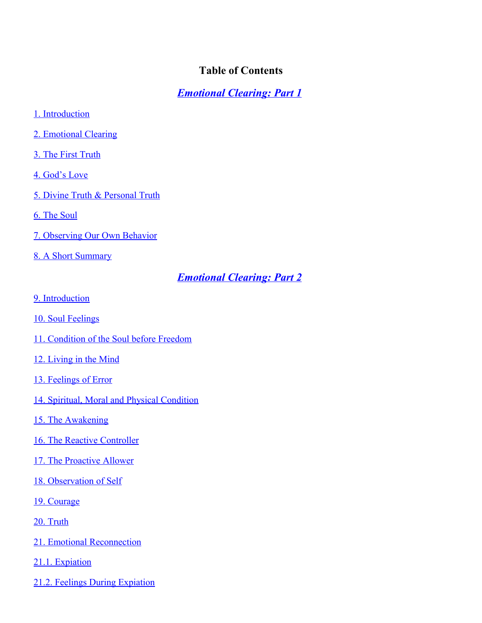#### <span id="page-4-0"></span>**Table of Contents**

*[Emotional Clearing: Part 1](#page-6-2)*

- [1. Introduction](#page-6-1)
- [2. Emotional Clearing](#page-6-0)
- [3. The First Truth](#page-7-1)
- [4. God's Love](#page-7-0)
- [5. Divine Truth & Personal Truth](#page-8-1)
- [6. The Soul](#page-8-0)
- [7. Observing Our Own Behavior](#page-9-0)
- [8. A Short Summary](#page-10-0)

#### *[Emotional Clearing: Part 2](#page-12-3)*

- [9. Introduction](#page-12-2)
- [10. Soul Feelings](#page-12-1)
- [11. Condition of the Soul before Freedom](#page-12-0)
- [12. Living in the Mind](#page-13-0)
- [13. Feelings of Error](#page-14-1)
- [14. Spiritual, Moral and Physical Condition](#page-14-0)
- [15. The Awakening](#page-16-0)
- [16. The Reactive Controller](#page-17-1)
- [17. The Proactive Allower](#page-17-0)
- [18. Observation of Self](#page-18-0)
- [19. Courage](#page-19-1)

[20. Truth](#page-19-0)

- [21. Emotional Reconnection](#page-20-1)
- [21.1. Expiation](#page-20-0)
- [21.2. Feelings During Expiation](#page-21-0)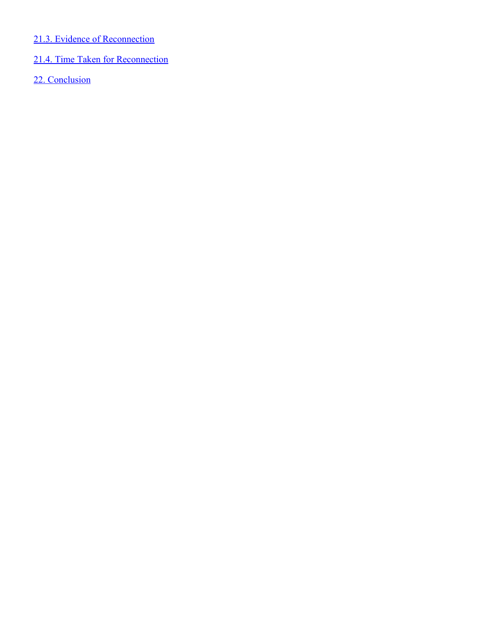#### [21.3. Evidence of Reconnection](#page-23-1)

# [21.4. Time Taken for Reconnection](#page-23-0)

[22. Conclusion](#page-24-0)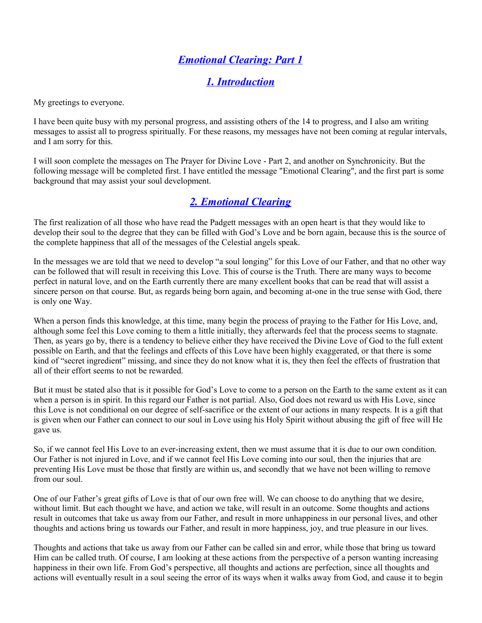## <span id="page-6-2"></span>*[Emotional Clearing: Part 1](#page-4-0)*

#### <span id="page-6-1"></span>*[1. Introduction](#page-4-0)*

My greetings to everyone.

I have been quite busy with my personal progress, and assisting others of the 14 to progress, and I also am writing messages to assist all to progress spiritually. For these reasons, my messages have not been coming at regular intervals, and I am sorry for this.

I will soon complete the messages on The Prayer for Divine Love - Part 2, and another on Synchronicity. But the following message will be completed first. I have entitled the message "Emotional Clearing", and the first part is some background that may assist your soul development.

#### <span id="page-6-0"></span>*[2. Emotional Clearing](#page-4-0)*

The first realization of all those who have read the Padgett messages with an open heart is that they would like to develop their soul to the degree that they can be filled with God's Love and be born again, because this is the source of the complete happiness that all of the messages of the Celestial angels speak.

In the messages we are told that we need to develop "a soul longing" for this Love of our Father, and that no other way can be followed that will result in receiving this Love. This of course is the Truth. There are many ways to become perfect in natural love, and on the Earth currently there are many excellent books that can be read that will assist a sincere person on that course. But, as regards being born again, and becoming at-one in the true sense with God, there is only one Way.

When a person finds this knowledge, at this time, many begin the process of praying to the Father for His Love, and, although some feel this Love coming to them a little initially, they afterwards feel that the process seems to stagnate. Then, as years go by, there is a tendency to believe either they have received the Divine Love of God to the full extent possible on Earth, and that the feelings and effects of this Love have been highly exaggerated, or that there is some kind of "secret ingredient" missing, and since they do not know what it is, they then feel the effects of frustration that all of their effort seems to not be rewarded.

But it must be stated also that is it possible for God's Love to come to a person on the Earth to the same extent as it can when a person is in spirit. In this regard our Father is not partial. Also, God does not reward us with His Love, since this Love is not conditional on our degree of self-sacrifice or the extent of our actions in many respects. It is a gift that is given when our Father can connect to our soul in Love using his Holy Spirit without abusing the gift of free will He gave us.

So, if we cannot feel His Love to an ever-increasing extent, then we must assume that it is due to our own condition. Our Father is not injured in Love, and if we cannot feel His Love coming into our soul, then the injuries that are preventing His Love must be those that firstly are within us, and secondly that we have not been willing to remove from our soul.

One of our Father's great gifts of Love is that of our own free will. We can choose to do anything that we desire, without limit. But each thought we have, and action we take, will result in an outcome. Some thoughts and actions result in outcomes that take us away from our Father, and result in more unhappiness in our personal lives, and other thoughts and actions bring us towards our Father, and result in more happiness, joy, and true pleasure in our lives.

Thoughts and actions that take us away from our Father can be called sin and error, while those that bring us toward Him can be called truth. Of course, I am looking at these actions from the perspective of a person wanting increasing happiness in their own life. From God's perspective, all thoughts and actions are perfection, since all thoughts and actions will eventually result in a soul seeing the error of its ways when it walks away from God, and cause it to begin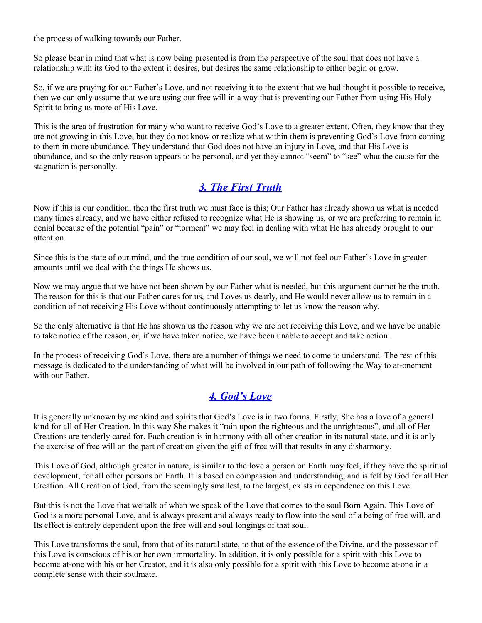the process of walking towards our Father.

So please bear in mind that what is now being presented is from the perspective of the soul that does not have a relationship with its God to the extent it desires, but desires the same relationship to either begin or grow.

So, if we are praying for our Father's Love, and not receiving it to the extent that we had thought it possible to receive, then we can only assume that we are using our free will in a way that is preventing our Father from using His Holy Spirit to bring us more of His Love.

This is the area of frustration for many who want to receive God's Love to a greater extent. Often, they know that they are not growing in this Love, but they do not know or realize what within them is preventing God's Love from coming to them in more abundance. They understand that God does not have an injury in Love, and that His Love is abundance, and so the only reason appears to be personal, and yet they cannot "seem" to "see" what the cause for the stagnation is personally.

#### <span id="page-7-1"></span>*[3. The First Truth](#page-4-0)*

Now if this is our condition, then the first truth we must face is this; Our Father has already shown us what is needed many times already, and we have either refused to recognize what He is showing us, or we are preferring to remain in denial because of the potential "pain" or "torment" we may feel in dealing with what He has already brought to our attention.

Since this is the state of our mind, and the true condition of our soul, we will not feel our Father's Love in greater amounts until we deal with the things He shows us.

Now we may argue that we have not been shown by our Father what is needed, but this argument cannot be the truth. The reason for this is that our Father cares for us, and Loves us dearly, and He would never allow us to remain in a condition of not receiving His Love without continuously attempting to let us know the reason why.

So the only alternative is that He has shown us the reason why we are not receiving this Love, and we have be unable to take notice of the reason, or, if we have taken notice, we have been unable to accept and take action.

In the process of receiving God's Love, there are a number of things we need to come to understand. The rest of this message is dedicated to the understanding of what will be involved in our path of following the Way to at-onement with our Father.

#### <span id="page-7-0"></span>*[4. God's Love](#page-4-0)*

It is generally unknown by mankind and spirits that God's Love is in two forms. Firstly, She has a love of a general kind for all of Her Creation. In this way She makes it "rain upon the righteous and the unrighteous", and all of Her Creations are tenderly cared for. Each creation is in harmony with all other creation in its natural state, and it is only the exercise of free will on the part of creation given the gift of free will that results in any disharmony.

This Love of God, although greater in nature, is similar to the love a person on Earth may feel, if they have the spiritual development, for all other persons on Earth. It is based on compassion and understanding, and is felt by God for all Her Creation. All Creation of God, from the seemingly smallest, to the largest, exists in dependence on this Love.

But this is not the Love that we talk of when we speak of the Love that comes to the soul Born Again. This Love of God is a more personal Love, and is always present and always ready to flow into the soul of a being of free will, and Its effect is entirely dependent upon the free will and soul longings of that soul.

This Love transforms the soul, from that of its natural state, to that of the essence of the Divine, and the possessor of this Love is conscious of his or her own immortality. In addition, it is only possible for a spirit with this Love to become at-one with his or her Creator, and it is also only possible for a spirit with this Love to become at-one in a complete sense with their soulmate.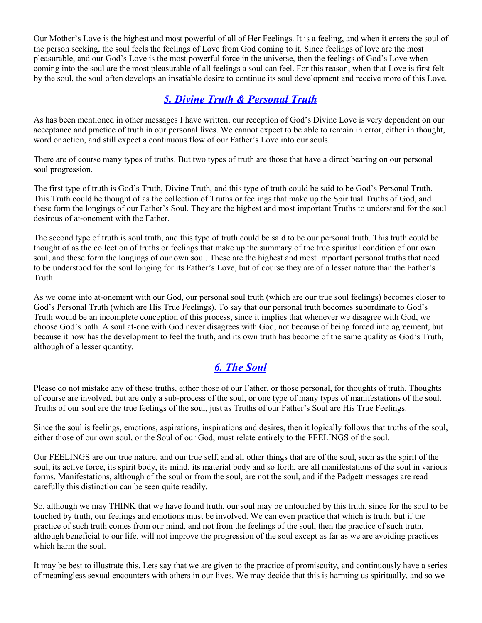Our Mother's Love is the highest and most powerful of all of Her Feelings. It is a feeling, and when it enters the soul of the person seeking, the soul feels the feelings of Love from God coming to it. Since feelings of love are the most pleasurable, and our God's Love is the most powerful force in the universe, then the feelings of God's Love when coming into the soul are the most pleasurable of all feelings a soul can feel. For this reason, when that Love is first felt by the soul, the soul often develops an insatiable desire to continue its soul development and receive more of this Love.

## <span id="page-8-1"></span>*[5. Divine Truth & Personal Truth](#page-4-0)*

As has been mentioned in other messages I have written, our reception of God's Divine Love is very dependent on our acceptance and practice of truth in our personal lives. We cannot expect to be able to remain in error, either in thought, word or action, and still expect a continuous flow of our Father's Love into our souls.

There are of course many types of truths. But two types of truth are those that have a direct bearing on our personal soul progression.

The first type of truth is God's Truth, Divine Truth, and this type of truth could be said to be God's Personal Truth. This Truth could be thought of as the collection of Truths or feelings that make up the Spiritual Truths of God, and these form the longings of our Father's Soul. They are the highest and most important Truths to understand for the soul desirous of at-onement with the Father.

The second type of truth is soul truth, and this type of truth could be said to be our personal truth. This truth could be thought of as the collection of truths or feelings that make up the summary of the true spiritual condition of our own soul, and these form the longings of our own soul. These are the highest and most important personal truths that need to be understood for the soul longing for its Father's Love, but of course they are of a lesser nature than the Father's Truth.

As we come into at-onement with our God, our personal soul truth (which are our true soul feelings) becomes closer to God's Personal Truth (which are His True Feelings). To say that our personal truth becomes subordinate to God's Truth would be an incomplete conception of this process, since it implies that whenever we disagree with God, we choose God's path. A soul at-one with God never disagrees with God, not because of being forced into agreement, but because it now has the development to feel the truth, and its own truth has become of the same quality as God's Truth, although of a lesser quantity.

#### <span id="page-8-0"></span>*[6. The Soul](#page-4-0)*

Please do not mistake any of these truths, either those of our Father, or those personal, for thoughts of truth. Thoughts of course are involved, but are only a sub-process of the soul, or one type of many types of manifestations of the soul. Truths of our soul are the true feelings of the soul, just as Truths of our Father's Soul are His True Feelings.

Since the soul is feelings, emotions, aspirations, inspirations and desires, then it logically follows that truths of the soul, either those of our own soul, or the Soul of our God, must relate entirely to the FEELINGS of the soul.

Our FEELINGS are our true nature, and our true self, and all other things that are of the soul, such as the spirit of the soul, its active force, its spirit body, its mind, its material body and so forth, are all manifestations of the soul in various forms. Manifestations, although of the soul or from the soul, are not the soul, and if the Padgett messages are read carefully this distinction can be seen quite readily.

So, although we may THINK that we have found truth, our soul may be untouched by this truth, since for the soul to be touched by truth, our feelings and emotions must be involved. We can even practice that which is truth, but if the practice of such truth comes from our mind, and not from the feelings of the soul, then the practice of such truth, although beneficial to our life, will not improve the progression of the soul except as far as we are avoiding practices which harm the soul.

It may be best to illustrate this. Lets say that we are given to the practice of promiscuity, and continuously have a series of meaningless sexual encounters with others in our lives. We may decide that this is harming us spiritually, and so we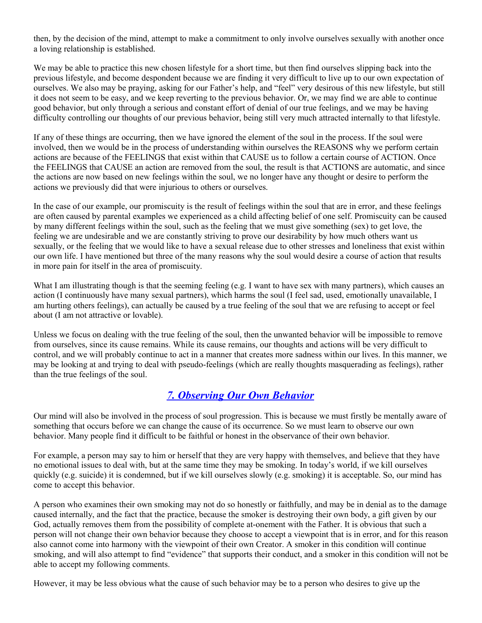then, by the decision of the mind, attempt to make a commitment to only involve ourselves sexually with another once a loving relationship is established.

We may be able to practice this new chosen lifestyle for a short time, but then find ourselves slipping back into the previous lifestyle, and become despondent because we are finding it very difficult to live up to our own expectation of ourselves. We also may be praying, asking for our Father's help, and "feel" very desirous of this new lifestyle, but still it does not seem to be easy, and we keep reverting to the previous behavior. Or, we may find we are able to continue good behavior, but only through a serious and constant effort of denial of our true feelings, and we may be having difficulty controlling our thoughts of our previous behavior, being still very much attracted internally to that lifestyle.

If any of these things are occurring, then we have ignored the element of the soul in the process. If the soul were involved, then we would be in the process of understanding within ourselves the REASONS why we perform certain actions are because of the FEELINGS that exist within that CAUSE us to follow a certain course of ACTION. Once the FEELINGS that CAUSE an action are removed from the soul, the result is that ACTIONS are automatic, and since the actions are now based on new feelings within the soul, we no longer have any thought or desire to perform the actions we previously did that were injurious to others or ourselves.

In the case of our example, our promiscuity is the result of feelings within the soul that are in error, and these feelings are often caused by parental examples we experienced as a child affecting belief of one self. Promiscuity can be caused by many different feelings within the soul, such as the feeling that we must give something (sex) to get love, the feeling we are undesirable and we are constantly striving to prove our desirability by how much others want us sexually, or the feeling that we would like to have a sexual release due to other stresses and loneliness that exist within our own life. I have mentioned but three of the many reasons why the soul would desire a course of action that results in more pain for itself in the area of promiscuity.

What I am illustrating though is that the seeming feeling (e.g. I want to have sex with many partners), which causes an action (I continuously have many sexual partners), which harms the soul (I feel sad, used, emotionally unavailable, I am hurting others feelings), can actually be caused by a true feeling of the soul that we are refusing to accept or feel about (I am not attractive or lovable).

Unless we focus on dealing with the true feeling of the soul, then the unwanted behavior will be impossible to remove from ourselves, since its cause remains. While its cause remains, our thoughts and actions will be very difficult to control, and we will probably continue to act in a manner that creates more sadness within our lives. In this manner, we may be looking at and trying to deal with pseudo-feelings (which are really thoughts masquerading as feelings), rather than the true feelings of the soul.

#### <span id="page-9-0"></span>*[7. Observing Our Own Behavior](#page-4-0)*

Our mind will also be involved in the process of soul progression. This is because we must firstly be mentally aware of something that occurs before we can change the cause of its occurrence. So we must learn to observe our own behavior. Many people find it difficult to be faithful or honest in the observance of their own behavior.

For example, a person may say to him or herself that they are very happy with themselves, and believe that they have no emotional issues to deal with, but at the same time they may be smoking. In today's world, if we kill ourselves quickly (e.g. suicide) it is condemned, but if we kill ourselves slowly (e.g. smoking) it is acceptable. So, our mind has come to accept this behavior.

A person who examines their own smoking may not do so honestly or faithfully, and may be in denial as to the damage caused internally, and the fact that the practice, because the smoker is destroying their own body, a gift given by our God, actually removes them from the possibility of complete at-onement with the Father. It is obvious that such a person will not change their own behavior because they choose to accept a viewpoint that is in error, and for this reason also cannot come into harmony with the viewpoint of their own Creator. A smoker in this condition will continue smoking, and will also attempt to find "evidence" that supports their conduct, and a smoker in this condition will not be able to accept my following comments.

However, it may be less obvious what the cause of such behavior may be to a person who desires to give up the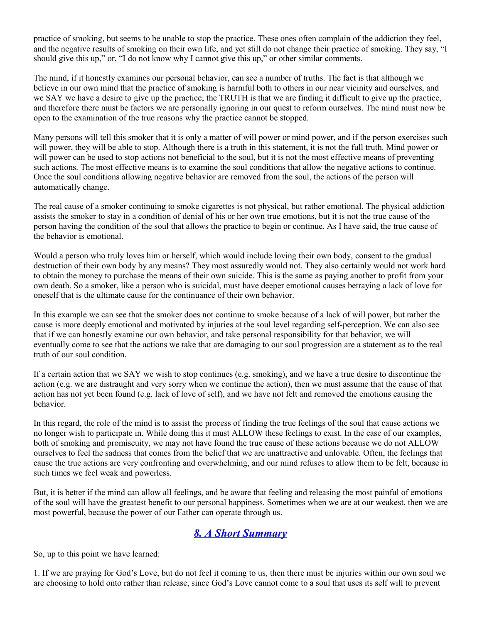practice of smoking, but seems to be unable to stop the practice. These ones often complain of the addiction they feel, and the negative results of smoking on their own life, and yet still do not change their practice of smoking. They say, "I should give this up," or, "I do not know why I cannot give this up," or other similar comments.

The mind, if it honestly examines our personal behavior, can see a number of truths. The fact is that although we believe in our own mind that the practice of smoking is harmful both to others in our near vicinity and ourselves, and we SAY we have a desire to give up the practice; the TRUTH is that we are finding it difficult to give up the practice, and therefore there must be factors we are personally ignoring in our quest to reform ourselves. The mind must now be open to the examination of the true reasons why the practice cannot be stopped.

Many persons will tell this smoker that it is only a matter of will power or mind power, and if the person exercises such will power, they will be able to stop. Although there is a truth in this statement, it is not the full truth. Mind power or will power can be used to stop actions not beneficial to the soul, but it is not the most effective means of preventing such actions. The most effective means is to examine the soul conditions that allow the negative actions to continue. Once the soul conditions allowing negative behavior are removed from the soul, the actions of the person will automatically change.

The real cause of a smoker continuing to smoke cigarettes is not physical, but rather emotional. The physical addiction assists the smoker to stay in a condition of denial of his or her own true emotions, but it is not the true cause of the person having the condition of the soul that allows the practice to begin or continue. As I have said, the true cause of the behavior is emotional.

Would a person who truly loves him or herself, which would include loving their own body, consent to the gradual destruction of their own body by any means? They most assuredly would not. They also certainly would not work hard to obtain the money to purchase the means of their own suicide. This is the same as paying another to profit from your own death. So a smoker, like a person who is suicidal, must have deeper emotional causes betraying a lack of love for oneself that is the ultimate cause for the continuance of their own behavior.

In this example we can see that the smoker does not continue to smoke because of a lack of will power, but rather the cause is more deeply emotional and motivated by injuries at the soul level regarding self-perception. We can also see that if we can honestly examine our own behavior, and take personal responsibility for that behavior, we will eventually come to see that the actions we take that are damaging to our soul progression are a statement as to the real truth of our soul condition.

If a certain action that we SAY we wish to stop continues (e.g. smoking), and we have a true desire to discontinue the action (e.g. we are distraught and very sorry when we continue the action), then we must assume that the cause of that action has not yet been found (e.g. lack of love of self), and we have not felt and removed the emotions causing the behavior.

In this regard, the role of the mind is to assist the process of finding the true feelings of the soul that cause actions we no longer wish to participate in. While doing this it must ALLOW these feelings to exist. In the case of our examples, both of smoking and promiscuity, we may not have found the true cause of these actions because we do not ALLOW ourselves to feel the sadness that comes from the belief that we are unattractive and unlovable. Often, the feelings that cause the true actions are very confronting and overwhelming, and our mind refuses to allow them to be felt, because in such times we feel weak and powerless.

But, it is better if the mind can allow all feelings, and be aware that feeling and releasing the most painful of emotions of the soul will have the greatest benefit to our personal happiness. Sometimes when we are at our weakest, then we are most powerful, because the power of our Father can operate through us.

## <span id="page-10-0"></span>*[8. A Short Summary](#page-4-0)*

So, up to this point we have learned:

1. If we are praying for God's Love, but do not feel it coming to us, then there must be injuries within our own soul we are choosing to hold onto rather than release, since God's Love cannot come to a soul that uses its self will to prevent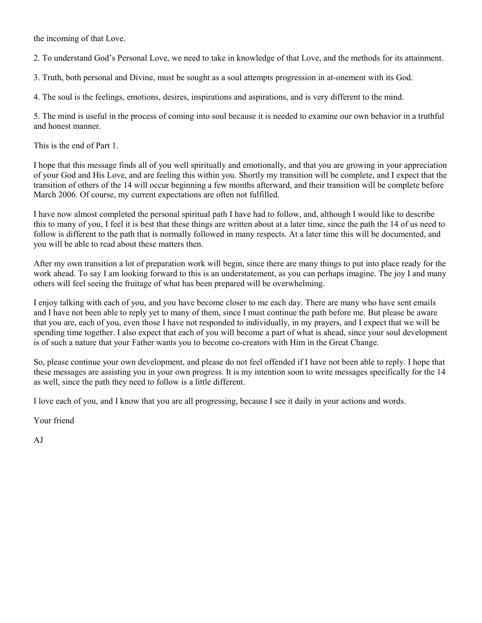the incoming of that Love.

2. To understand God's Personal Love, we need to take in knowledge of that Love, and the methods for its attainment.

3. Truth, both personal and Divine, must be sought as a soul attempts progression in at-onement with its God.

4. The soul is the feelings, emotions, desires, inspirations and aspirations, and is very different to the mind.

5. The mind is useful in the process of coming into soul because it is needed to examine our own behavior in a truthful and honest manner.

This is the end of Part 1.

I hope that this message finds all of you well spiritually and emotionally, and that you are growing in your appreciation of your God and His Love, and are feeling this within you. Shortly my transition will be complete, and I expect that the transition of others of the 14 will occur beginning a few months afterward, and their transition will be complete before March 2006. Of course, my current expectations are often not fulfilled.

I have now almost completed the personal spiritual path I have had to follow, and, although I would like to describe this to many of you, I feel it is best that these things are written about at a later time, since the path the 14 of us need to follow is different to the path that is normally followed in many respects. At a later time this will be documented, and you will be able to read about these matters then.

After my own transition a lot of preparation work will begin, since there are many things to put into place ready for the work ahead. To say I am looking forward to this is an understatement, as you can perhaps imagine. The joy I and many others will feel seeing the fruitage of what has been prepared will be overwhelming.

I enjoy talking with each of you, and you have become closer to me each day. There are many who have sent emails and I have not been able to reply yet to many of them, since I must continue the path before me. But please be aware that you are, each of you, even those I have not responded to individually, in my prayers, and I expect that we will be spending time together. I also expect that each of you will become a part of what is ahead, since your soul development is of such a nature that your Father wants you to become co-creators with Him in the Great Change.

So, please continue your own development, and please do not feel offended if I have not been able to reply. I hope that these messages are assisting you in your own progress. It is my intention soon to write messages specifically for the 14 as well, since the path they need to follow is a little different.

I love each of you, and I know that you are all progressing, because I see it daily in your actions and words.

Your friend

AJ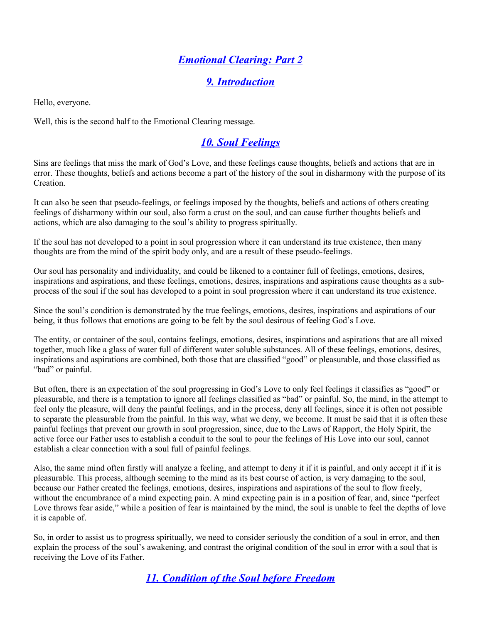## <span id="page-12-3"></span>*[Emotional Clearing: Part 2](#page-4-0)*

#### <span id="page-12-2"></span>*[9. Introduction](#page-4-0)*

Hello, everyone.

Well, this is the second half to the Emotional Clearing message.

#### <span id="page-12-1"></span>*[10. Soul Feelings](#page-4-0)*

Sins are feelings that miss the mark of God's Love, and these feelings cause thoughts, beliefs and actions that are in error. These thoughts, beliefs and actions become a part of the history of the soul in disharmony with the purpose of its Creation.

It can also be seen that pseudo-feelings, or feelings imposed by the thoughts, beliefs and actions of others creating feelings of disharmony within our soul, also form a crust on the soul, and can cause further thoughts beliefs and actions, which are also damaging to the soul's ability to progress spiritually.

If the soul has not developed to a point in soul progression where it can understand its true existence, then many thoughts are from the mind of the spirit body only, and are a result of these pseudo-feelings.

Our soul has personality and individuality, and could be likened to a container full of feelings, emotions, desires, inspirations and aspirations, and these feelings, emotions, desires, inspirations and aspirations cause thoughts as a subprocess of the soul if the soul has developed to a point in soul progression where it can understand its true existence.

Since the soul's condition is demonstrated by the true feelings, emotions, desires, inspirations and aspirations of our being, it thus follows that emotions are going to be felt by the soul desirous of feeling God's Love.

The entity, or container of the soul, contains feelings, emotions, desires, inspirations and aspirations that are all mixed together, much like a glass of water full of different water soluble substances. All of these feelings, emotions, desires, inspirations and aspirations are combined, both those that are classified "good" or pleasurable, and those classified as "bad" or painful.

But often, there is an expectation of the soul progressing in God's Love to only feel feelings it classifies as "good" or pleasurable, and there is a temptation to ignore all feelings classified as "bad" or painful. So, the mind, in the attempt to feel only the pleasure, will deny the painful feelings, and in the process, deny all feelings, since it is often not possible to separate the pleasurable from the painful. In this way, what we deny, we become. It must be said that it is often these painful feelings that prevent our growth in soul progression, since, due to the Laws of Rapport, the Holy Spirit, the active force our Father uses to establish a conduit to the soul to pour the feelings of His Love into our soul, cannot establish a clear connection with a soul full of painful feelings.

Also, the same mind often firstly will analyze a feeling, and attempt to deny it if it is painful, and only accept it if it is pleasurable. This process, although seeming to the mind as its best course of action, is very damaging to the soul, because our Father created the feelings, emotions, desires, inspirations and aspirations of the soul to flow freely, without the encumbrance of a mind expecting pain. A mind expecting pain is in a position of fear, and, since "perfect" Love throws fear aside," while a position of fear is maintained by the mind, the soul is unable to feel the depths of love it is capable of.

So, in order to assist us to progress spiritually, we need to consider seriously the condition of a soul in error, and then explain the process of the soul's awakening, and contrast the original condition of the soul in error with a soul that is receiving the Love of its Father.

#### <span id="page-12-0"></span>*[11. Condition of the Soul before Freedom](#page-4-0)*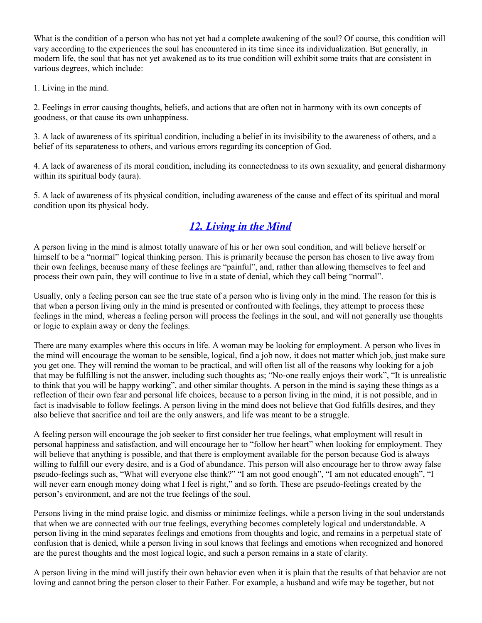What is the condition of a person who has not yet had a complete awakening of the soul? Of course, this condition will vary according to the experiences the soul has encountered in its time since its individualization. But generally, in modern life, the soul that has not yet awakened as to its true condition will exhibit some traits that are consistent in various degrees, which include:

1. Living in the mind.

2. Feelings in error causing thoughts, beliefs, and actions that are often not in harmony with its own concepts of goodness, or that cause its own unhappiness.

3. A lack of awareness of its spiritual condition, including a belief in its invisibility to the awareness of others, and a belief of its separateness to others, and various errors regarding its conception of God.

4. A lack of awareness of its moral condition, including its connectedness to its own sexuality, and general disharmony within its spiritual body (aura).

5. A lack of awareness of its physical condition, including awareness of the cause and effect of its spiritual and moral condition upon its physical body.

## <span id="page-13-0"></span>*[12. Living in the Mind](#page-4-0)*

A person living in the mind is almost totally unaware of his or her own soul condition, and will believe herself or himself to be a "normal" logical thinking person. This is primarily because the person has chosen to live away from their own feelings, because many of these feelings are "painful", and, rather than allowing themselves to feel and process their own pain, they will continue to live in a state of denial, which they call being "normal".

Usually, only a feeling person can see the true state of a person who is living only in the mind. The reason for this is that when a person living only in the mind is presented or confronted with feelings, they attempt to process these feelings in the mind, whereas a feeling person will process the feelings in the soul, and will not generally use thoughts or logic to explain away or deny the feelings.

There are many examples where this occurs in life. A woman may be looking for employment. A person who lives in the mind will encourage the woman to be sensible, logical, find a job now, it does not matter which job, just make sure you get one. They will remind the woman to be practical, and will often list all of the reasons why looking for a job that may be fulfilling is not the answer, including such thoughts as; "No-one really enjoys their work", "It is unrealistic to think that you will be happy working", and other similar thoughts. A person in the mind is saying these things as a reflection of their own fear and personal life choices, because to a person living in the mind, it is not possible, and in fact is inadvisable to follow feelings. A person living in the mind does not believe that God fulfills desires, and they also believe that sacrifice and toil are the only answers, and life was meant to be a struggle.

A feeling person will encourage the job seeker to first consider her true feelings, what employment will result in personal happiness and satisfaction, and will encourage her to "follow her heart" when looking for employment. They will believe that anything is possible, and that there is employment available for the person because God is always willing to fulfill our every desire, and is a God of abundance. This person will also encourage her to throw away false pseudo-feelings such as, "What will everyone else think?" "I am not good enough", "I am not educated enough", "I will never earn enough money doing what I feel is right," and so forth. These are pseudo-feelings created by the person's environment, and are not the true feelings of the soul.

Persons living in the mind praise logic, and dismiss or minimize feelings, while a person living in the soul understands that when we are connected with our true feelings, everything becomes completely logical and understandable. A person living in the mind separates feelings and emotions from thoughts and logic, and remains in a perpetual state of confusion that is denied, while a person living in soul knows that feelings and emotions when recognized and honored are the purest thoughts and the most logical logic, and such a person remains in a state of clarity.

A person living in the mind will justify their own behavior even when it is plain that the results of that behavior are not loving and cannot bring the person closer to their Father. For example, a husband and wife may be together, but not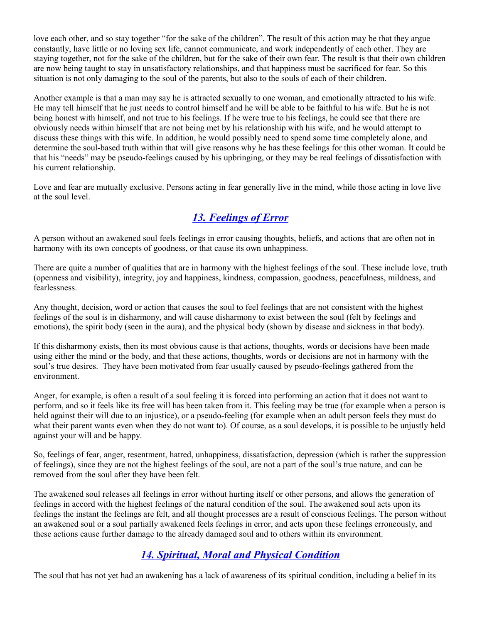love each other, and so stay together "for the sake of the children". The result of this action may be that they argue constantly, have little or no loving sex life, cannot communicate, and work independently of each other. They are staying together, not for the sake of the children, but for the sake of their own fear. The result is that their own children are now being taught to stay in unsatisfactory relationships, and that happiness must be sacrificed for fear. So this situation is not only damaging to the soul of the parents, but also to the souls of each of their children.

Another example is that a man may say he is attracted sexually to one woman, and emotionally attracted to his wife. He may tell himself that he just needs to control himself and he will be able to be faithful to his wife. But he is not being honest with himself, and not true to his feelings. If he were true to his feelings, he could see that there are obviously needs within himself that are not being met by his relationship with his wife, and he would attempt to discuss these things with this wife. In addition, he would possibly need to spend some time completely alone, and determine the soul-based truth within that will give reasons why he has these feelings for this other woman. It could be that his "needs" may be pseudo-feelings caused by his upbringing, or they may be real feelings of dissatisfaction with his current relationship.

Love and fear are mutually exclusive. Persons acting in fear generally live in the mind, while those acting in love live at the soul level.

## <span id="page-14-1"></span>*[13. Feelings of Error](#page-4-0)*

A person without an awakened soul feels feelings in error causing thoughts, beliefs, and actions that are often not in harmony with its own concepts of goodness, or that cause its own unhappiness.

There are quite a number of qualities that are in harmony with the highest feelings of the soul. These include love, truth (openness and visibility), integrity, joy and happiness, kindness, compassion, goodness, peacefulness, mildness, and fearlessness.

Any thought, decision, word or action that causes the soul to feel feelings that are not consistent with the highest feelings of the soul is in disharmony, and will cause disharmony to exist between the soul (felt by feelings and emotions), the spirit body (seen in the aura), and the physical body (shown by disease and sickness in that body).

If this disharmony exists, then its most obvious cause is that actions, thoughts, words or decisions have been made using either the mind or the body, and that these actions, thoughts, words or decisions are not in harmony with the soul's true desires. They have been motivated from fear usually caused by pseudo-feelings gathered from the environment.

Anger, for example, is often a result of a soul feeling it is forced into performing an action that it does not want to perform, and so it feels like its free will has been taken from it. This feeling may be true (for example when a person is held against their will due to an injustice), or a pseudo-feeling (for example when an adult person feels they must do what their parent wants even when they do not want to). Of course, as a soul develops, it is possible to be unjustly held against your will and be happy.

So, feelings of fear, anger, resentment, hatred, unhappiness, dissatisfaction, depression (which is rather the suppression of feelings), since they are not the highest feelings of the soul, are not a part of the soul's true nature, and can be removed from the soul after they have been felt.

The awakened soul releases all feelings in error without hurting itself or other persons, and allows the generation of feelings in accord with the highest feelings of the natural condition of the soul. The awakened soul acts upon its feelings the instant the feelings are felt, and all thought processes are a result of conscious feelings. The person without an awakened soul or a soul partially awakened feels feelings in error, and acts upon these feelings erroneously, and these actions cause further damage to the already damaged soul and to others within its environment.

#### <span id="page-14-0"></span>*[14. Spiritual, Moral and Physical Condition](#page-4-0)*

The soul that has not yet had an awakening has a lack of awareness of its spiritual condition, including a belief in its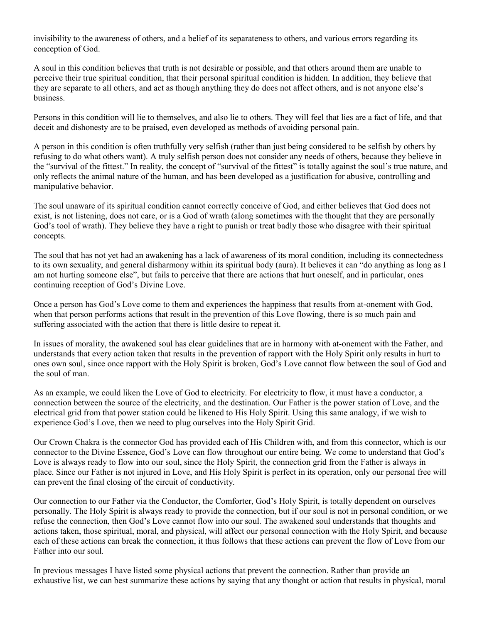invisibility to the awareness of others, and a belief of its separateness to others, and various errors regarding its conception of God.

A soul in this condition believes that truth is not desirable or possible, and that others around them are unable to perceive their true spiritual condition, that their personal spiritual condition is hidden. In addition, they believe that they are separate to all others, and act as though anything they do does not affect others, and is not anyone else's business.

Persons in this condition will lie to themselves, and also lie to others. They will feel that lies are a fact of life, and that deceit and dishonesty are to be praised, even developed as methods of avoiding personal pain.

A person in this condition is often truthfully very selfish (rather than just being considered to be selfish by others by refusing to do what others want). A truly selfish person does not consider any needs of others, because they believe in the "survival of the fittest." In reality, the concept of "survival of the fittest" is totally against the soul's true nature, and only reflects the animal nature of the human, and has been developed as a justification for abusive, controlling and manipulative behavior.

The soul unaware of its spiritual condition cannot correctly conceive of God, and either believes that God does not exist, is not listening, does not care, or is a God of wrath (along sometimes with the thought that they are personally God's tool of wrath). They believe they have a right to punish or treat badly those who disagree with their spiritual concepts.

The soul that has not yet had an awakening has a lack of awareness of its moral condition, including its connectedness to its own sexuality, and general disharmony within its spiritual body (aura). It believes it can "do anything as long as I am not hurting someone else", but fails to perceive that there are actions that hurt oneself, and in particular, ones continuing reception of God's Divine Love.

Once a person has God's Love come to them and experiences the happiness that results from at-onement with God, when that person performs actions that result in the prevention of this Love flowing, there is so much pain and suffering associated with the action that there is little desire to repeat it.

In issues of morality, the awakened soul has clear guidelines that are in harmony with at-onement with the Father, and understands that every action taken that results in the prevention of rapport with the Holy Spirit only results in hurt to ones own soul, since once rapport with the Holy Spirit is broken, God's Love cannot flow between the soul of God and the soul of man.

As an example, we could liken the Love of God to electricity. For electricity to flow, it must have a conductor, a connection between the source of the electricity, and the destination. Our Father is the power station of Love, and the electrical grid from that power station could be likened to His Holy Spirit. Using this same analogy, if we wish to experience God's Love, then we need to plug ourselves into the Holy Spirit Grid.

Our Crown Chakra is the connector God has provided each of His Children with, and from this connector, which is our connector to the Divine Essence, God's Love can flow throughout our entire being. We come to understand that God's Love is always ready to flow into our soul, since the Holy Spirit, the connection grid from the Father is always in place. Since our Father is not injured in Love, and His Holy Spirit is perfect in its operation, only our personal free will can prevent the final closing of the circuit of conductivity.

Our connection to our Father via the Conductor, the Comforter, God's Holy Spirit, is totally dependent on ourselves personally. The Holy Spirit is always ready to provide the connection, but if our soul is not in personal condition, or we refuse the connection, then God's Love cannot flow into our soul. The awakened soul understands that thoughts and actions taken, those spiritual, moral, and physical, will affect our personal connection with the Holy Spirit, and because each of these actions can break the connection, it thus follows that these actions can prevent the flow of Love from our Father into our soul.

In previous messages I have listed some physical actions that prevent the connection. Rather than provide an exhaustive list, we can best summarize these actions by saying that any thought or action that results in physical, moral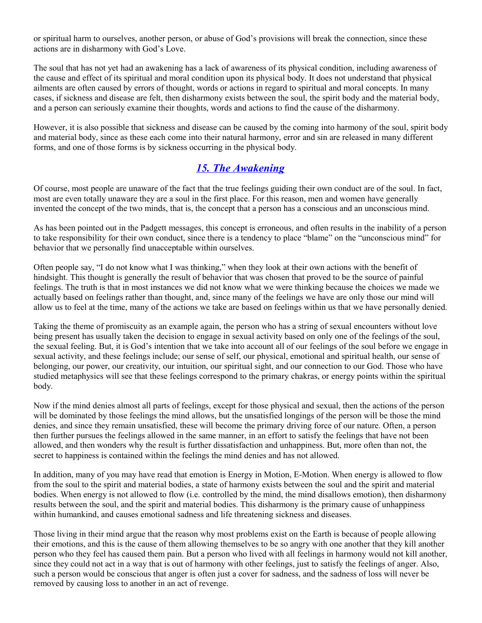or spiritual harm to ourselves, another person, or abuse of God's provisions will break the connection, since these actions are in disharmony with God's Love.

The soul that has not yet had an awakening has a lack of awareness of its physical condition, including awareness of the cause and effect of its spiritual and moral condition upon its physical body. It does not understand that physical ailments are often caused by errors of thought, words or actions in regard to spiritual and moral concepts. In many cases, if sickness and disease are felt, then disharmony exists between the soul, the spirit body and the material body, and a person can seriously examine their thoughts, words and actions to find the cause of the disharmony.

However, it is also possible that sickness and disease can be caused by the coming into harmony of the soul, spirit body and material body, since as these each come into their natural harmony, error and sin are released in many different forms, and one of those forms is by sickness occurring in the physical body.

#### <span id="page-16-0"></span>*[15. The Awakening](#page-4-0)*

Of course, most people are unaware of the fact that the true feelings guiding their own conduct are of the soul. In fact, most are even totally unaware they are a soul in the first place. For this reason, men and women have generally invented the concept of the two minds, that is, the concept that a person has a conscious and an unconscious mind.

As has been pointed out in the Padgett messages, this concept is erroneous, and often results in the inability of a person to take responsibility for their own conduct, since there is a tendency to place "blame" on the "unconscious mind" for behavior that we personally find unacceptable within ourselves.

Often people say, "I do not know what I was thinking," when they look at their own actions with the benefit of hindsight. This thought is generally the result of behavior that was chosen that proved to be the source of painful feelings. The truth is that in most instances we did not know what we were thinking because the choices we made we actually based on feelings rather than thought, and, since many of the feelings we have are only those our mind will allow us to feel at the time, many of the actions we take are based on feelings within us that we have personally denied.

Taking the theme of promiscuity as an example again, the person who has a string of sexual encounters without love being present has usually taken the decision to engage in sexual activity based on only one of the feelings of the soul, the sexual feeling. But, it is God's intention that we take into account all of our feelings of the soul before we engage in sexual activity, and these feelings include; our sense of self, our physical, emotional and spiritual health, our sense of belonging, our power, our creativity, our intuition, our spiritual sight, and our connection to our God. Those who have studied metaphysics will see that these feelings correspond to the primary chakras, or energy points within the spiritual body.

Now if the mind denies almost all parts of feelings, except for those physical and sexual, then the actions of the person will be dominated by those feelings the mind allows, but the unsatisfied longings of the person will be those the mind denies, and since they remain unsatisfied, these will become the primary driving force of our nature. Often, a person then further pursues the feelings allowed in the same manner, in an effort to satisfy the feelings that have not been allowed, and then wonders why the result is further dissatisfaction and unhappiness. But, more often than not, the secret to happiness is contained within the feelings the mind denies and has not allowed.

In addition, many of you may have read that emotion is Energy in Motion, E-Motion. When energy is allowed to flow from the soul to the spirit and material bodies, a state of harmony exists between the soul and the spirit and material bodies. When energy is not allowed to flow (i.e. controlled by the mind, the mind disallows emotion), then disharmony results between the soul, and the spirit and material bodies. This disharmony is the primary cause of unhappiness within humankind, and causes emotional sadness and life threatening sickness and diseases.

Those living in their mind argue that the reason why most problems exist on the Earth is because of people allowing their emotions, and this is the cause of them allowing themselves to be so angry with one another that they kill another person who they feel has caused them pain. But a person who lived with all feelings in harmony would not kill another, since they could not act in a way that is out of harmony with other feelings, just to satisfy the feelings of anger. Also, such a person would be conscious that anger is often just a cover for sadness, and the sadness of loss will never be removed by causing loss to another in an act of revenge.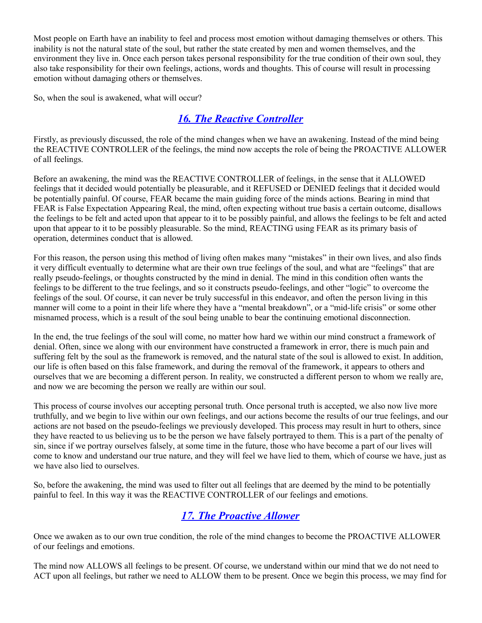Most people on Earth have an inability to feel and process most emotion without damaging themselves or others. This inability is not the natural state of the soul, but rather the state created by men and women themselves, and the environment they live in. Once each person takes personal responsibility for the true condition of their own soul, they also take responsibility for their own feelings, actions, words and thoughts. This of course will result in processing emotion without damaging others or themselves.

So, when the soul is awakened, what will occur?

## <span id="page-17-1"></span>*[16. The Reactive Controller](#page-4-0)*

Firstly, as previously discussed, the role of the mind changes when we have an awakening. Instead of the mind being the REACTIVE CONTROLLER of the feelings, the mind now accepts the role of being the PROACTIVE ALLOWER of all feelings.

Before an awakening, the mind was the REACTIVE CONTROLLER of feelings, in the sense that it ALLOWED feelings that it decided would potentially be pleasurable, and it REFUSED or DENIED feelings that it decided would be potentially painful. Of course, FEAR became the main guiding force of the minds actions. Bearing in mind that FEAR is False Expectation Appearing Real, the mind, often expecting without true basis a certain outcome, disallows the feelings to be felt and acted upon that appear to it to be possibly painful, and allows the feelings to be felt and acted upon that appear to it to be possibly pleasurable. So the mind, REACTING using FEAR as its primary basis of operation, determines conduct that is allowed.

For this reason, the person using this method of living often makes many "mistakes" in their own lives, and also finds it very difficult eventually to determine what are their own true feelings of the soul, and what are "feelings" that are really pseudo-feelings, or thoughts constructed by the mind in denial. The mind in this condition often wants the feelings to be different to the true feelings, and so it constructs pseudo-feelings, and other "logic" to overcome the feelings of the soul. Of course, it can never be truly successful in this endeavor, and often the person living in this manner will come to a point in their life where they have a "mental breakdown", or a "mid-life crisis" or some other misnamed process, which is a result of the soul being unable to bear the continuing emotional disconnection.

In the end, the true feelings of the soul will come, no matter how hard we within our mind construct a framework of denial. Often, since we along with our environment have constructed a framework in error, there is much pain and suffering felt by the soul as the framework is removed, and the natural state of the soul is allowed to exist. In addition, our life is often based on this false framework, and during the removal of the framework, it appears to others and ourselves that we are becoming a different person. In reality, we constructed a different person to whom we really are, and now we are becoming the person we really are within our soul.

This process of course involves our accepting personal truth. Once personal truth is accepted, we also now live more truthfully, and we begin to live within our own feelings, and our actions become the results of our true feelings, and our actions are not based on the pseudo-feelings we previously developed. This process may result in hurt to others, since they have reacted to us believing us to be the person we have falsely portrayed to them. This is a part of the penalty of sin, since if we portray ourselves falsely, at some time in the future, those who have become a part of our lives will come to know and understand our true nature, and they will feel we have lied to them, which of course we have, just as we have also lied to ourselves.

So, before the awakening, the mind was used to filter out all feelings that are deemed by the mind to be potentially painful to feel. In this way it was the REACTIVE CONTROLLER of our feelings and emotions.

## <span id="page-17-0"></span>*[17. The Proactive Allower](#page-4-0)*

Once we awaken as to our own true condition, the role of the mind changes to become the PROACTIVE ALLOWER of our feelings and emotions.

The mind now ALLOWS all feelings to be present. Of course, we understand within our mind that we do not need to ACT upon all feelings, but rather we need to ALLOW them to be present. Once we begin this process, we may find for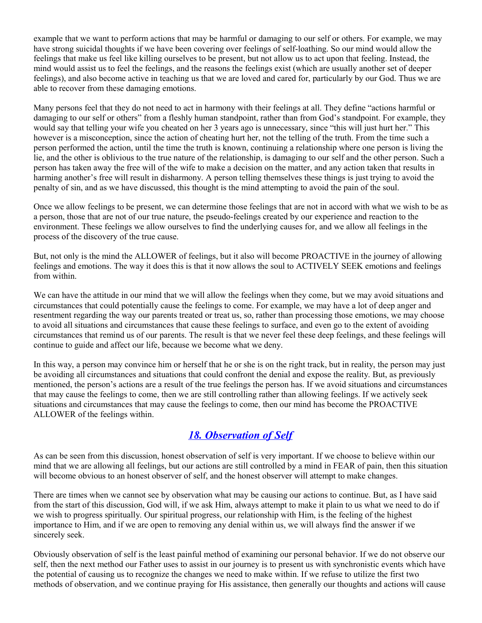example that we want to perform actions that may be harmful or damaging to our self or others. For example, we may have strong suicidal thoughts if we have been covering over feelings of self-loathing. So our mind would allow the feelings that make us feel like killing ourselves to be present, but not allow us to act upon that feeling. Instead, the mind would assist us to feel the feelings, and the reasons the feelings exist (which are usually another set of deeper feelings), and also become active in teaching us that we are loved and cared for, particularly by our God. Thus we are able to recover from these damaging emotions.

Many persons feel that they do not need to act in harmony with their feelings at all. They define "actions harmful or damaging to our self or others" from a fleshly human standpoint, rather than from God's standpoint. For example, they would say that telling your wife you cheated on her 3 years ago is unnecessary, since "this will just hurt her." This however is a misconception, since the action of cheating hurt her, not the telling of the truth. From the time such a person performed the action, until the time the truth is known, continuing a relationship where one person is living the lie, and the other is oblivious to the true nature of the relationship, is damaging to our self and the other person. Such a person has taken away the free will of the wife to make a decision on the matter, and any action taken that results in harming another's free will result in disharmony. A person telling themselves these things is just trying to avoid the penalty of sin, and as we have discussed, this thought is the mind attempting to avoid the pain of the soul.

Once we allow feelings to be present, we can determine those feelings that are not in accord with what we wish to be as a person, those that are not of our true nature, the pseudo-feelings created by our experience and reaction to the environment. These feelings we allow ourselves to find the underlying causes for, and we allow all feelings in the process of the discovery of the true cause.

But, not only is the mind the ALLOWER of feelings, but it also will become PROACTIVE in the journey of allowing feelings and emotions. The way it does this is that it now allows the soul to ACTIVELY SEEK emotions and feelings from within.

We can have the attitude in our mind that we will allow the feelings when they come, but we may avoid situations and circumstances that could potentially cause the feelings to come. For example, we may have a lot of deep anger and resentment regarding the way our parents treated or treat us, so, rather than processing those emotions, we may choose to avoid all situations and circumstances that cause these feelings to surface, and even go to the extent of avoiding circumstances that remind us of our parents. The result is that we never feel these deep feelings, and these feelings will continue to guide and affect our life, because we become what we deny.

In this way, a person may convince him or herself that he or she is on the right track, but in reality, the person may just be avoiding all circumstances and situations that could confront the denial and expose the reality. But, as previously mentioned, the person's actions are a result of the true feelings the person has. If we avoid situations and circumstances that may cause the feelings to come, then we are still controlling rather than allowing feelings. If we actively seek situations and circumstances that may cause the feelings to come, then our mind has become the PROACTIVE ALLOWER of the feelings within.

#### <span id="page-18-0"></span>*[18. Observation of Self](#page-4-0)*

As can be seen from this discussion, honest observation of self is very important. If we choose to believe within our mind that we are allowing all feelings, but our actions are still controlled by a mind in FEAR of pain, then this situation will become obvious to an honest observer of self, and the honest observer will attempt to make changes.

There are times when we cannot see by observation what may be causing our actions to continue. But, as I have said from the start of this discussion, God will, if we ask Him, always attempt to make it plain to us what we need to do if we wish to progress spiritually. Our spiritual progress, our relationship with Him, is the feeling of the highest importance to Him, and if we are open to removing any denial within us, we will always find the answer if we sincerely seek.

Obviously observation of self is the least painful method of examining our personal behavior. If we do not observe our self, then the next method our Father uses to assist in our journey is to present us with synchronistic events which have the potential of causing us to recognize the changes we need to make within. If we refuse to utilize the first two methods of observation, and we continue praying for His assistance, then generally our thoughts and actions will cause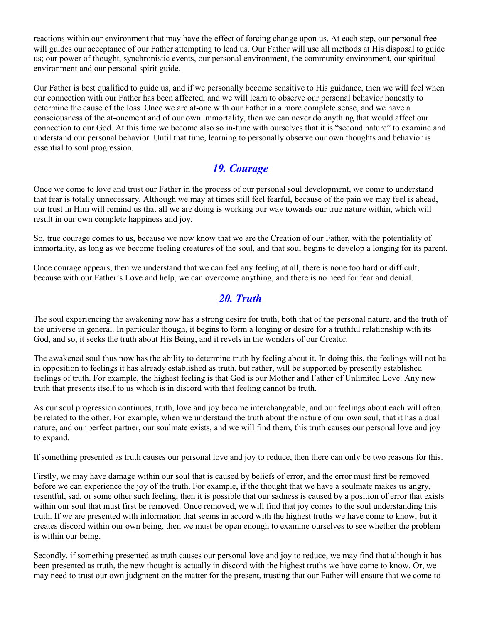reactions within our environment that may have the effect of forcing change upon us. At each step, our personal free will guides our acceptance of our Father attempting to lead us. Our Father will use all methods at His disposal to guide us; our power of thought, synchronistic events, our personal environment, the community environment, our spiritual environment and our personal spirit guide.

Our Father is best qualified to guide us, and if we personally become sensitive to His guidance, then we will feel when our connection with our Father has been affected, and we will learn to observe our personal behavior honestly to determine the cause of the loss. Once we are at-one with our Father in a more complete sense, and we have a consciousness of the at-onement and of our own immortality, then we can never do anything that would affect our connection to our God. At this time we become also so in-tune with ourselves that it is "second nature" to examine and understand our personal behavior. Until that time, learning to personally observe our own thoughts and behavior is essential to soul progression.

## <span id="page-19-1"></span>*[19. Courage](#page-4-0)*

Once we come to love and trust our Father in the process of our personal soul development, we come to understand that fear is totally unnecessary. Although we may at times still feel fearful, because of the pain we may feel is ahead, our trust in Him will remind us that all we are doing is working our way towards our true nature within, which will result in our own complete happiness and joy.

So, true courage comes to us, because we now know that we are the Creation of our Father, with the potentiality of immortality, as long as we become feeling creatures of the soul, and that soul begins to develop a longing for its parent.

Once courage appears, then we understand that we can feel any feeling at all, there is none too hard or difficult, because with our Father's Love and help, we can overcome anything, and there is no need for fear and denial.

#### <span id="page-19-0"></span>*[20. Truth](#page-4-0)*

The soul experiencing the awakening now has a strong desire for truth, both that of the personal nature, and the truth of the universe in general. In particular though, it begins to form a longing or desire for a truthful relationship with its God, and so, it seeks the truth about His Being, and it revels in the wonders of our Creator.

The awakened soul thus now has the ability to determine truth by feeling about it. In doing this, the feelings will not be in opposition to feelings it has already established as truth, but rather, will be supported by presently established feelings of truth. For example, the highest feeling is that God is our Mother and Father of Unlimited Love. Any new truth that presents itself to us which is in discord with that feeling cannot be truth.

As our soul progression continues, truth, love and joy become interchangeable, and our feelings about each will often be related to the other. For example, when we understand the truth about the nature of our own soul, that it has a dual nature, and our perfect partner, our soulmate exists, and we will find them, this truth causes our personal love and joy to expand.

If something presented as truth causes our personal love and joy to reduce, then there can only be two reasons for this.

Firstly, we may have damage within our soul that is caused by beliefs of error, and the error must first be removed before we can experience the joy of the truth. For example, if the thought that we have a soulmate makes us angry, resentful, sad, or some other such feeling, then it is possible that our sadness is caused by a position of error that exists within our soul that must first be removed. Once removed, we will find that joy comes to the soul understanding this truth. If we are presented with information that seems in accord with the highest truths we have come to know, but it creates discord within our own being, then we must be open enough to examine ourselves to see whether the problem is within our being.

Secondly, if something presented as truth causes our personal love and joy to reduce, we may find that although it has been presented as truth, the new thought is actually in discord with the highest truths we have come to know. Or, we may need to trust our own judgment on the matter for the present, trusting that our Father will ensure that we come to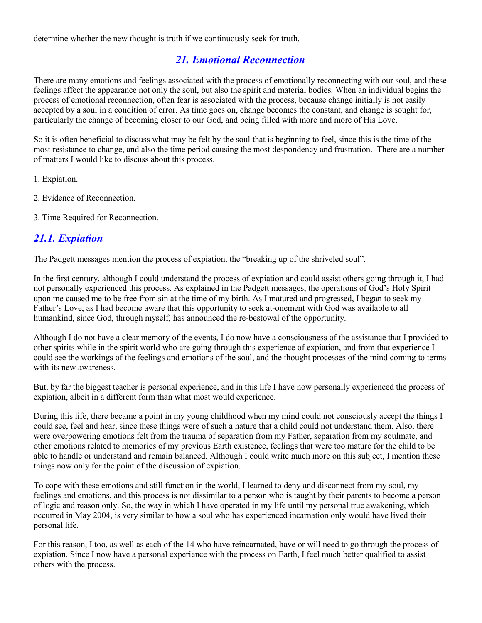determine whether the new thought is truth if we continuously seek for truth.

## <span id="page-20-1"></span>*[21. Emotional Reconnection](#page-4-0)*

There are many emotions and feelings associated with the process of emotionally reconnecting with our soul, and these feelings affect the appearance not only the soul, but also the spirit and material bodies. When an individual begins the process of emotional reconnection, often fear is associated with the process, because change initially is not easily accepted by a soul in a condition of error. As time goes on, change becomes the constant, and change is sought for, particularly the change of becoming closer to our God, and being filled with more and more of His Love.

So it is often beneficial to discuss what may be felt by the soul that is beginning to feel, since this is the time of the most resistance to change, and also the time period causing the most despondency and frustration. There are a number of matters I would like to discuss about this process.

1. Expiation.

- 2. Evidence of Reconnection.
- 3. Time Required for Reconnection.

#### <span id="page-20-0"></span>*[21.1. Expiation](#page-4-0)*

The Padgett messages mention the process of expiation, the "breaking up of the shriveled soul".

In the first century, although I could understand the process of expiation and could assist others going through it, I had not personally experienced this process. As explained in the Padgett messages, the operations of God's Holy Spirit upon me caused me to be free from sin at the time of my birth. As I matured and progressed, I began to seek my Father's Love, as I had become aware that this opportunity to seek at-onement with God was available to all humankind, since God, through myself, has announced the re-bestowal of the opportunity.

Although I do not have a clear memory of the events, I do now have a consciousness of the assistance that I provided to other spirits while in the spirit world who are going through this experience of expiation, and from that experience I could see the workings of the feelings and emotions of the soul, and the thought processes of the mind coming to terms with its new awareness.

But, by far the biggest teacher is personal experience, and in this life I have now personally experienced the process of expiation, albeit in a different form than what most would experience.

During this life, there became a point in my young childhood when my mind could not consciously accept the things I could see, feel and hear, since these things were of such a nature that a child could not understand them. Also, there were overpowering emotions felt from the trauma of separation from my Father, separation from my soulmate, and other emotions related to memories of my previous Earth existence, feelings that were too mature for the child to be able to handle or understand and remain balanced. Although I could write much more on this subject, I mention these things now only for the point of the discussion of expiation.

To cope with these emotions and still function in the world, I learned to deny and disconnect from my soul, my feelings and emotions, and this process is not dissimilar to a person who is taught by their parents to become a person of logic and reason only. So, the way in which I have operated in my life until my personal true awakening, which occurred in May 2004, is very similar to how a soul who has experienced incarnation only would have lived their personal life.

For this reason, I too, as well as each of the 14 who have reincarnated, have or will need to go through the process of expiation. Since I now have a personal experience with the process on Earth, I feel much better qualified to assist others with the process.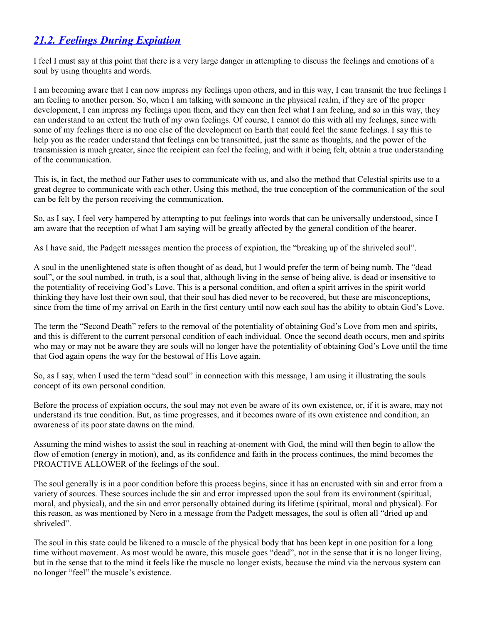## <span id="page-21-0"></span>*[21.2. Feelings During Expiation](#page-4-0)*

I feel I must say at this point that there is a very large danger in attempting to discuss the feelings and emotions of a soul by using thoughts and words.

I am becoming aware that I can now impress my feelings upon others, and in this way, I can transmit the true feelings I am feeling to another person. So, when I am talking with someone in the physical realm, if they are of the proper development. I can impress my feelings upon them, and they can then feel what I am feeling, and so in this way, they can understand to an extent the truth of my own feelings. Of course, I cannot do this with all my feelings, since with some of my feelings there is no one else of the development on Earth that could feel the same feelings. I say this to help you as the reader understand that feelings can be transmitted, just the same as thoughts, and the power of the transmission is much greater, since the recipient can feel the feeling, and with it being felt, obtain a true understanding of the communication.

This is, in fact, the method our Father uses to communicate with us, and also the method that Celestial spirits use to a great degree to communicate with each other. Using this method, the true conception of the communication of the soul can be felt by the person receiving the communication.

So, as I say, I feel very hampered by attempting to put feelings into words that can be universally understood, since I am aware that the reception of what I am saying will be greatly affected by the general condition of the hearer.

As I have said, the Padgett messages mention the process of expiation, the "breaking up of the shriveled soul".

A soul in the unenlightened state is often thought of as dead, but I would prefer the term of being numb. The "dead soul", or the soul numbed, in truth, is a soul that, although living in the sense of being alive, is dead or insensitive to the potentiality of receiving God's Love. This is a personal condition, and often a spirit arrives in the spirit world thinking they have lost their own soul, that their soul has died never to be recovered, but these are misconceptions, since from the time of my arrival on Earth in the first century until now each soul has the ability to obtain God's Love.

The term the "Second Death" refers to the removal of the potentiality of obtaining God's Love from men and spirits, and this is different to the current personal condition of each individual. Once the second death occurs, men and spirits who may or may not be aware they are souls will no longer have the potentiality of obtaining God's Love until the time that God again opens the way for the bestowal of His Love again.

So, as I say, when I used the term "dead soul" in connection with this message, I am using it illustrating the souls concept of its own personal condition.

Before the process of expiation occurs, the soul may not even be aware of its own existence, or, if it is aware, may not understand its true condition. But, as time progresses, and it becomes aware of its own existence and condition, an awareness of its poor state dawns on the mind.

Assuming the mind wishes to assist the soul in reaching at-onement with God, the mind will then begin to allow the flow of emotion (energy in motion), and, as its confidence and faith in the process continues, the mind becomes the PROACTIVE ALLOWER of the feelings of the soul.

The soul generally is in a poor condition before this process begins, since it has an encrusted with sin and error from a variety of sources. These sources include the sin and error impressed upon the soul from its environment (spiritual, moral, and physical), and the sin and error personally obtained during its lifetime (spiritual, moral and physical). For this reason, as was mentioned by Nero in a message from the Padgett messages, the soul is often all "dried up and shriveled".

The soul in this state could be likened to a muscle of the physical body that has been kept in one position for a long time without movement. As most would be aware, this muscle goes "dead", not in the sense that it is no longer living, but in the sense that to the mind it feels like the muscle no longer exists, because the mind via the nervous system can no longer "feel" the muscle's existence.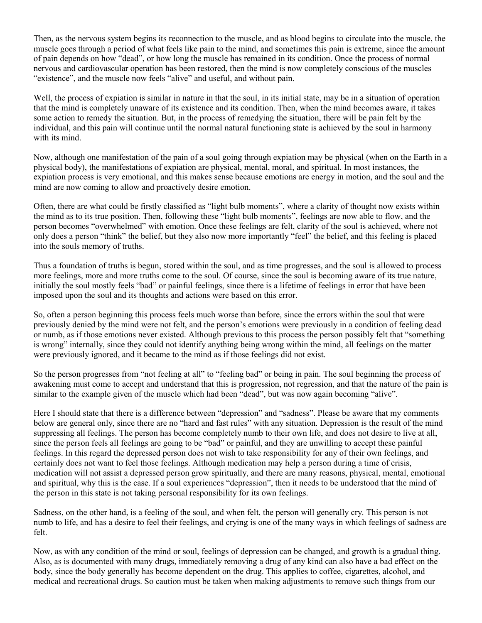Then, as the nervous system begins its reconnection to the muscle, and as blood begins to circulate into the muscle, the muscle goes through a period of what feels like pain to the mind, and sometimes this pain is extreme, since the amount of pain depends on how "dead", or how long the muscle has remained in its condition. Once the process of normal nervous and cardiovascular operation has been restored, then the mind is now completely conscious of the muscles "existence", and the muscle now feels "alive" and useful, and without pain.

Well, the process of expiation is similar in nature in that the soul, in its initial state, may be in a situation of operation that the mind is completely unaware of its existence and its condition. Then, when the mind becomes aware, it takes some action to remedy the situation. But, in the process of remedying the situation, there will be pain felt by the individual, and this pain will continue until the normal natural functioning state is achieved by the soul in harmony with its mind.

Now, although one manifestation of the pain of a soul going through expiation may be physical (when on the Earth in a physical body), the manifestations of expiation are physical, mental, moral, and spiritual. In most instances, the expiation process is very emotional, and this makes sense because emotions are energy in motion, and the soul and the mind are now coming to allow and proactively desire emotion.

Often, there are what could be firstly classified as "light bulb moments", where a clarity of thought now exists within the mind as to its true position. Then, following these "light bulb moments", feelings are now able to flow, and the person becomes "overwhelmed" with emotion. Once these feelings are felt, clarity of the soul is achieved, where not only does a person "think" the belief, but they also now more importantly "feel" the belief, and this feeling is placed into the souls memory of truths.

Thus a foundation of truths is begun, stored within the soul, and as time progresses, and the soul is allowed to process more feelings, more and more truths come to the soul. Of course, since the soul is becoming aware of its true nature, initially the soul mostly feels "bad" or painful feelings, since there is a lifetime of feelings in error that have been imposed upon the soul and its thoughts and actions were based on this error.

So, often a person beginning this process feels much worse than before, since the errors within the soul that were previously denied by the mind were not felt, and the person's emotions were previously in a condition of feeling dead or numb, as if those emotions never existed. Although previous to this process the person possibly felt that "something is wrong" internally, since they could not identify anything being wrong within the mind, all feelings on the matter were previously ignored, and it became to the mind as if those feelings did not exist.

So the person progresses from "not feeling at all" to "feeling bad" or being in pain. The soul beginning the process of awakening must come to accept and understand that this is progression, not regression, and that the nature of the pain is similar to the example given of the muscle which had been "dead", but was now again becoming "alive".

Here I should state that there is a difference between "depression" and "sadness". Please be aware that my comments below are general only, since there are no "hard and fast rules" with any situation. Depression is the result of the mind suppressing all feelings. The person has become completely numb to their own life, and does not desire to live at all, since the person feels all feelings are going to be "bad" or painful, and they are unwilling to accept these painful feelings. In this regard the depressed person does not wish to take responsibility for any of their own feelings, and certainly does not want to feel those feelings. Although medication may help a person during a time of crisis, medication will not assist a depressed person grow spiritually, and there are many reasons, physical, mental, emotional and spiritual, why this is the case. If a soul experiences "depression", then it needs to be understood that the mind of the person in this state is not taking personal responsibility for its own feelings.

Sadness, on the other hand, is a feeling of the soul, and when felt, the person will generally cry. This person is not numb to life, and has a desire to feel their feelings, and crying is one of the many ways in which feelings of sadness are felt.

Now, as with any condition of the mind or soul, feelings of depression can be changed, and growth is a gradual thing. Also, as is documented with many drugs, immediately removing a drug of any kind can also have a bad effect on the body, since the body generally has become dependent on the drug. This applies to coffee, cigarettes, alcohol, and medical and recreational drugs. So caution must be taken when making adjustments to remove such things from our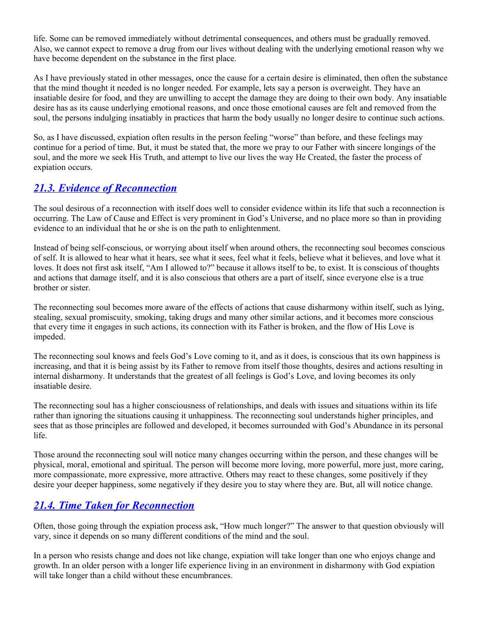life. Some can be removed immediately without detrimental consequences, and others must be gradually removed. Also, we cannot expect to remove a drug from our lives without dealing with the underlying emotional reason why we have become dependent on the substance in the first place.

As I have previously stated in other messages, once the cause for a certain desire is eliminated, then often the substance that the mind thought it needed is no longer needed. For example, lets say a person is overweight. They have an insatiable desire for food, and they are unwilling to accept the damage they are doing to their own body. Any insatiable desire has as its cause underlying emotional reasons, and once those emotional causes are felt and removed from the soul, the persons indulging insatiably in practices that harm the body usually no longer desire to continue such actions.

So, as I have discussed, expiation often results in the person feeling "worse" than before, and these feelings may continue for a period of time. But, it must be stated that, the more we pray to our Father with sincere longings of the soul, and the more we seek His Truth, and attempt to live our lives the way He Created, the faster the process of expiation occurs.

#### <span id="page-23-1"></span>*[21.3. Evidence of Reconnection](#page-4-0)*

The soul desirous of a reconnection with itself does well to consider evidence within its life that such a reconnection is occurring. The Law of Cause and Effect is very prominent in God's Universe, and no place more so than in providing evidence to an individual that he or she is on the path to enlightenment.

Instead of being self-conscious, or worrying about itself when around others, the reconnecting soul becomes conscious of self. It is allowed to hear what it hears, see what it sees, feel what it feels, believe what it believes, and love what it loves. It does not first ask itself, "Am I allowed to?" because it allows itself to be, to exist. It is conscious of thoughts and actions that damage itself, and it is also conscious that others are a part of itself, since everyone else is a true brother or sister.

The reconnecting soul becomes more aware of the effects of actions that cause disharmony within itself, such as lying, stealing, sexual promiscuity, smoking, taking drugs and many other similar actions, and it becomes more conscious that every time it engages in such actions, its connection with its Father is broken, and the flow of His Love is impeded.

The reconnecting soul knows and feels God's Love coming to it, and as it does, is conscious that its own happiness is increasing, and that it is being assist by its Father to remove from itself those thoughts, desires and actions resulting in internal disharmony. It understands that the greatest of all feelings is God's Love, and loving becomes its only insatiable desire.

The reconnecting soul has a higher consciousness of relationships, and deals with issues and situations within its life rather than ignoring the situations causing it unhappiness. The reconnecting soul understands higher principles, and sees that as those principles are followed and developed, it becomes surrounded with God's Abundance in its personal life.

Those around the reconnecting soul will notice many changes occurring within the person, and these changes will be physical, moral, emotional and spiritual. The person will become more loving, more powerful, more just, more caring, more compassionate, more expressive, more attractive. Others may react to these changes, some positively if they desire your deeper happiness, some negatively if they desire you to stay where they are. But, all will notice change.

#### <span id="page-23-0"></span>*[21.4. Time Taken for Reconnection](#page-4-0)*

Often, those going through the expiation process ask, "How much longer?" The answer to that question obviously will vary, since it depends on so many different conditions of the mind and the soul.

In a person who resists change and does not like change, expiation will take longer than one who enjoys change and growth. In an older person with a longer life experience living in an environment in disharmony with God expiation will take longer than a child without these encumbrances.